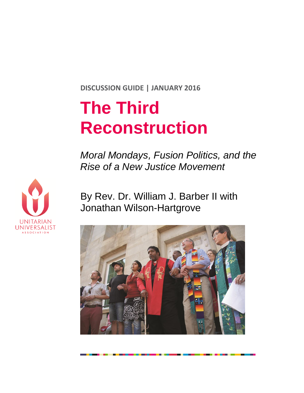**DISCUSSION GUIDE | JANUARY 2016**

# **The Third Reconstruction**

*Moral Mondays, Fusion Politics, and the Rise of a New Justice Movement* 



By Rev. Dr. William J. Barber II with Jonathan Wilson-Hartgrove

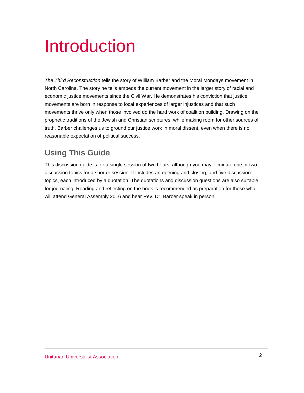## Introduction

*The Third Reconstruction* tells the story of William Barber and the Moral Mondays movement in North Carolina. The story he tells embeds the current movement in the larger story of racial and economic justice movements since the Civil War. He demonstrates his conviction that justice movements are born in response to local experiences of larger injustices and that such movements thrive only when those involved do the hard work of coalition building. Drawing on the prophetic traditions of the Jewish and Christian scriptures, while making room for other sources of truth, Barber challenges us to ground our justice work in moral dissent, even when there is no reasonable expectation of political success.

## **Using This Guide**

This discussion guide is for a single session of two hours, although you may eliminate one or two discussion topics for a shorter session. It includes an opening and closing, and five discussion topics, each introduced by a quotation. The quotations and discussion questions are also suitable for journaling. Reading and reflecting on the book is recommended as preparation for those who will attend General Assembly 2016 and hear Rev. Dr. Barber speak in person.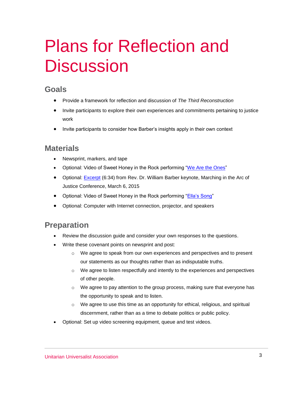## Plans for Reflection and **Discussion**

#### **Goals**

- Provide a framework for reflection and discussion of *The Third Reconstruction*
- Invite participants to explore their own experiences and commitments pertaining to justice work
- Invite participants to consider how Barber's insights apply in their own context

#### **Materials**

- Newsprint, markers, and tape
- Optional: Video of Sweet Honey in the Rock performing "We Are the Ones"
- Optional: **[Excerpt](https://smallscreen.uua.org/videos/dr-rev-william-barber-addresses-the-2015-selma-llp-conference)** (6:34) from Rev. Dr. William Barber keynote, Marching in the Arc of Justice Conference, March 6, 2015
- Optional: Video of Sweet Honey in the Rock performing "Ella's Song"
- Optional: Computer with Internet connection, projector, and speakers

#### **Preparation**

- Review the discussion guide and consider your own responses to the questions.
- Write these covenant points on newsprint and post:
	- o We agree to speak from our own experiences and perspectives and to present our statements as our thoughts rather than as indisputable truths.
	- o We agree to listen respectfully and intently to the experiences and perspectives of other people.
	- $\circ$  We agree to pay attention to the group process, making sure that everyone has the opportunity to speak and to listen.
	- $\circ$  We agree to use this time as an opportunity for ethical, religious, and spiritual discernment, rather than as a time to debate politics or public policy.
- Optional: Set up video screening equipment, queue and test videos.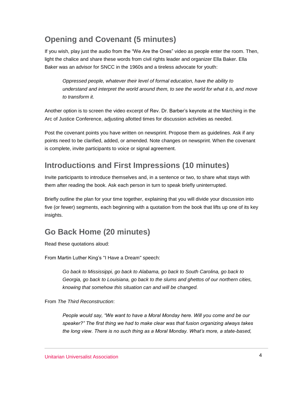## **Opening and Covenant (5 minutes)**

If you wish, play just the audio from the "We Are the Ones" video as people enter the room. Then, light the chalice and share these words from civil rights leader and organizer Ella Baker. Ella Baker was an advisor for SNCC in the 1960s and a tireless advocate for youth:

*Oppressed people, whatever their level of formal education, have the ability to understand and interpret the world around them, to see the world for what it is, and move to transform it.*

Another option is to screen the video excerpt of Rev. Dr. Barber's keynote at the Marching in the Arc of Justice Conference, adjusting allotted times for discussion activities as needed.

Post the covenant points you have written on newsprint. Propose them as guidelines. Ask if any points need to be clarified, added, or amended. Note changes on newsprint. When the covenant is complete, invite participants to voice or signal agreement.

### **Introductions and First Impressions (10 minutes)**

Invite participants to introduce themselves and, in a sentence or two, to share what stays with them after reading the book. Ask each person in turn to speak briefly uninterrupted.

Briefly outline the plan for your time together, explaining that you will divide your discussion into five (or fewer) segments, each beginning with a quotation from the book that lifts up one of its key insights.

### **Go Back Home (20 minutes)**

Read these quotations aloud:

From Martin Luther King's "I Have a Dream" speech:

*Go back to Mississippi, go back to Alabama, go back to South Carolina, go back to Georgia, go back to Louisiana, go back to the slums and ghettos of our northern cities, knowing that somehow this situation can and will be changed.* 

From *The Third Reconstruction*:

*People would say, "We want to have a Moral Monday here. Will you come and be our speaker?" The first thing we had to make clear was that fusion organizing always takes the long view. There is no such thing as a Moral Monday. What's more, a state-based,*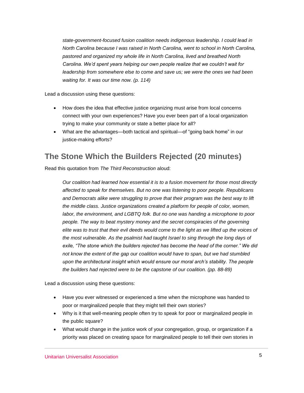*state-government-focused fusion coalition needs indigenous leadership. I could lead in North Carolina because I was raised in North Carolina, went to school in North Carolina, pastored and organized my whole life in North Carolina, lived and breathed North Carolina. We'd spent years helping our own people realize that we couldn't wait for leadership from somewhere else to come and save us; we were the ones we had been waiting for. It was our time now. (p. 114)*

Lead a discussion using these questions:

- How does the idea that effective justice organizing must arise from local concerns connect with your own experiences? Have you ever been part of a local organization trying to make your community or state a better place for all?
- What are the advantages—both tactical and spiritual—of "going back home" in our justice-making efforts?

#### **The Stone Which the Builders Rejected (20 minutes)**

Read this quotation from *The Third Reconstruction* aloud:

*Our coalition had learned how essential it is to a fusion movement for those most directly affected to speak for themselves. But no one was listening to poor people. Republicans and Democrats alike were struggling to prove that their program was the best way to lift the middle class. Justice organizations created a platform for people of color, women, labor, the environment, and LGBTQ folk. But no one was handing a microphone to poor people. The way to beat mystery money and the secret conspiracies of the governing elite was to trust that their evil deeds would come to the light as we lifted up the voices of the most vulnerable. As the psalmist had taught Israel to sing through the long days of exile, "The stone which the builders rejected has become the head of the corner." We did not know the extent of the gap our coalition would have to span, but we had stumbled upon the architectural insight which would ensure our moral arch's stability. The people the builders had rejected were to be the capstone of our coalition. (pp. 88-89)*

Lead a discussion using these questions:

- Have you ever witnessed or experienced a time when the microphone was handed to poor or marginalized people that they might tell their own stories?
- Why is it that well-meaning people often try to speak for poor or marginalized people in the public square?
- What would change in the justice work of your congregation, group, or organization if a priority was placed on creating space for marginalized people to tell their own stories in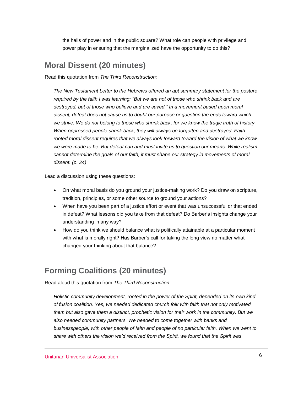the halls of power and in the public square? What role can people with privilege and power play in ensuring that the marginalized have the opportunity to do this?

#### **Moral Dissent (20 minutes)**

Read this quotation from *The Third Reconstruction:*

*The New Testament Letter to the Hebrews offered an apt summary statement for the posture required by the faith I was learning: "But we are not of those who shrink back and are destroyed, but of those who believe and are saved." In a movement based upon moral dissent, defeat does not cause us to doubt our purpose or question the ends toward which we strive. We do not belong to those who shrink back, for we know the tragic truth of history. When oppressed people shrink back, they will always be forgotten and destroyed. Faithrooted moral dissent requires that we always look forward toward the vision of what we know we were made to be. But defeat can and must invite us to question our means. While realism cannot determine the goals of our faith, it must shape our strategy in movements of moral dissent. (p. 24)*

Lead a discussion using these questions:

- On what moral basis do you ground your justice-making work? Do you draw on scripture, tradition, principles, or some other source to ground your actions?
- When have you been part of a justice effort or event that was unsuccessful or that ended in defeat? What lessons did you take from that defeat? Do Barber's insights change your understanding in any way?
- How do you think we should balance what is politically attainable at a particular moment with what is morally right? Has Barber's call for taking the long view no matter what changed your thinking about that balance?

### **Forming Coalitions (20 minutes)**

Read aloud this quotation from *The Third Reconstruction*:

*Holistic community development, rooted in the power of the Spirit, depended on its own kind of fusion coalition. Yes, we needed dedicated church folk with faith that not only motivated them but also gave them a distinct, prophetic vision for their work in the community. But we also needed community partners. We needed to come together with banks and businesspeople, with other people of faith and people of no particular faith. When we went to share with others the vision we'd received from the Spirit, we found that the Spirit was*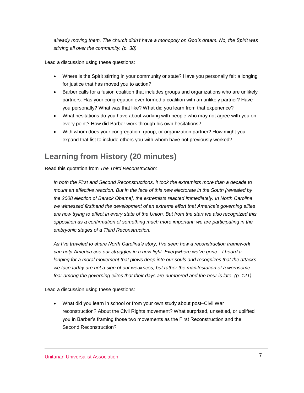*already moving them. The church didn't have a monopoly on God's dream. No, the Spirit was stirring all over the community. (p. 38)*

Lead a discussion using these questions:

- Where is the Spirit stirring in your community or state? Have you personally felt a longing for justice that has moved you to action?
- Barber calls for a fusion coalition that includes groups and organizations who are unlikely partners. Has your congregation ever formed a coalition with an unlikely partner? Have you personally? What was that like? What did you learn from that experience?
- What hesitations do you have about working with people who may not agree with you on every point? How did Barber work through his own hesitations?
- With whom does your congregation, group, or organization partner? How might you expand that list to include others you with whom have not previously worked?

#### **Learning from History (20 minutes)**

Read this quotation from *The Third Reconstruction:*

*In both the First and Second Reconstructions, it took the extremists more than a decade to mount an effective reaction. But in the face of this new electorate in the South [revealed by the 2008 election of Barack Obama], the extremists reacted immediately. In North Carolina we witnessed firsthand the development of an extreme effort that America's governing elites are now trying to effect in every state of the Union. But from the start we also recognized this opposition as a confirmation of something much more important; we are participating in the embryonic stages of a Third Reconstruction.* 

*As I've traveled to share North Carolina's story, I've seen how a reconstruction framework can help America see our struggles in a new light. Everywhere we've gone…I heard a longing for a moral movement that plows deep into our souls and recognizes that the attacks we face today are not a sign of our weakness, but rather the manifestation of a worrisome fear among the governing elites that their days are numbered and the hour is late. (p. 121)*

Lead a discussion using these questions:

 What did you learn in school or from your own study about post–Civil War reconstruction? About the Civil Rights movement? What surprised, unsettled, or uplifted you in Barber's framing those two movements as the First Reconstruction and the Second Reconstruction?